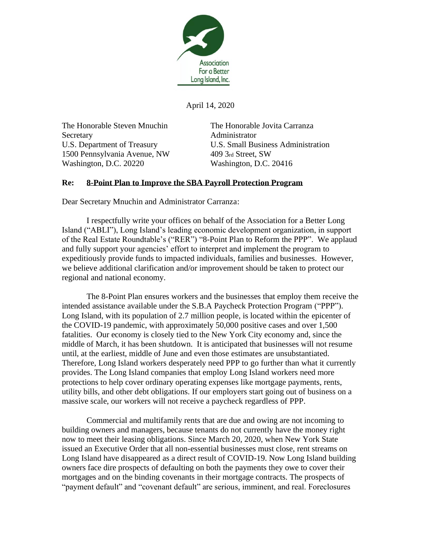

April 14, 2020

The Honorable Steven Mnuchin The Honorable Jovita Carranza Secretary **Administrator** 1500 Pennsylvania Avenue, NW 409 3rd Street, SW Washington, D.C. 20220 Washington, D.C. 20416

U.S. Department of Treasury U.S. Small Business Administration

## **Re: 8-Point Plan to Improve the SBA Payroll Protection Program**

Dear Secretary Mnuchin and Administrator Carranza:

I respectfully write your offices on behalf of the Association for a Better Long Island ("ABLI"), Long Island's leading economic development organization, in support of the Real Estate Roundtable's ("RER") "8-Point Plan to Reform the PPP". We applaud and fully support your agencies' effort to interpret and implement the program to expeditiously provide funds to impacted individuals, families and businesses. However, we believe additional clarification and/or improvement should be taken to protect our regional and national economy.

The 8-Point Plan ensures workers and the businesses that employ them receive the intended assistance available under the S.B.A Paycheck Protection Program ("PPP"). Long Island, with its population of 2.7 million people, is located within the epicenter of the COVID-19 pandemic, with approximately 50,000 positive cases and over 1,500 fatalities. Our economy is closely tied to the New York City economy and, since the middle of March, it has been shutdown. It is anticipated that businesses will not resume until, at the earliest, middle of June and even those estimates are unsubstantiated. Therefore, Long Island workers desperately need PPP to go further than what it currently provides. The Long Island companies that employ Long Island workers need more protections to help cover ordinary operating expenses like mortgage payments, rents, utility bills, and other debt obligations. If our employers start going out of business on a massive scale, our workers will not receive a paycheck regardless of PPP.

Commercial and multifamily rents that are due and owing are not incoming to building owners and managers, because tenants do not currently have the money right now to meet their leasing obligations. Since March 20, 2020, when New York State issued an Executive Order that all non-essential businesses must close, rent streams on Long Island have disappeared as a direct result of COVID-19. Now Long Island building owners face dire prospects of defaulting on both the payments they owe to cover their mortgages and on the binding covenants in their mortgage contracts. The prospects of "payment default" and "covenant default" are serious, imminent, and real. Foreclosures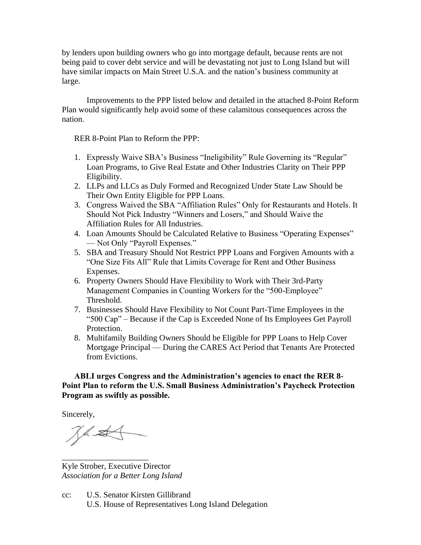by lenders upon building owners who go into mortgage default, because rents are not being paid to cover debt service and will be devastating not just to Long Island but will have similar impacts on Main Street U.S.A. and the nation's business community at large.

Improvements to the PPP listed below and detailed in the attached 8-Point Reform Plan would significantly help avoid some of these calamitous consequences across the nation.

RER 8-Point Plan to Reform the PPP:

- 1. Expressly Waive SBA's Business "Ineligibility" Rule Governing its "Regular" Loan Programs, to Give Real Estate and Other Industries Clarity on Their PPP Eligibility.
- 2. LLPs and LLCs as Duly Formed and Recognized Under State Law Should be Their Own Entity Eligible for PPP Loans.
- 3. Congress Waived the SBA "Affiliation Rules" Only for Restaurants and Hotels. It Should Not Pick Industry "Winners and Losers," and Should Waive the Affiliation Rules for All Industries.
- 4. Loan Amounts Should be Calculated Relative to Business "Operating Expenses" — Not Only "Payroll Expenses."
- 5. SBA and Treasury Should Not Restrict PPP Loans and Forgiven Amounts with a "One Size Fits All" Rule that Limits Coverage for Rent and Other Business Expenses.
- 6. Property Owners Should Have Flexibility to Work with Their 3rd-Party Management Companies in Counting Workers for the "500-Employee" Threshold.
- 7. Businesses Should Have Flexibility to Not Count Part-Time Employees in the "500 Cap" – Because if the Cap is Exceeded None of Its Employees Get Payroll Protection.
- 8. Multifamily Building Owners Should be Eligible for PPP Loans to Help Cover Mortgage Principal — During the CARES Act Period that Tenants Are Protected from Evictions.

**ABLI urges Congress and the Administration's agencies to enact the RER 8- Point Plan to reform the U.S. Small Business Administration's Paycheck Protection Program as swiftly as possible.** 

Sincerely,

Jas

\_\_\_\_\_\_\_\_\_\_\_\_\_\_\_\_\_\_\_\_\_

Kyle Strober, Executive Director *Association for a Better Long Island*

cc: U.S. Senator Kirsten Gillibrand U.S. House of Representatives Long Island Delegation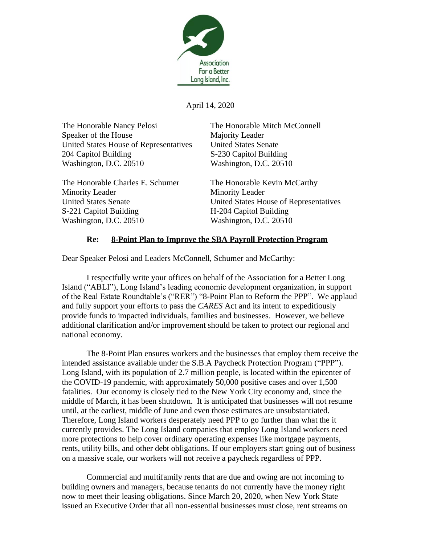

April 14, 2020

The Honorable Nancy Pelosi The Honorable Mitch McConnell Speaker of the House Majority Leader United States House of Representatives United States Senate 204 Capitol Building S-230 Capitol Building Washington, D.C. 20510 Washington, D.C. 20510

The Honorable Charles E. Schumer The Honorable Kevin McCarthy Minority Leader Minority Leader S-221 Capitol Building H-204 Capitol Building Washington, D.C. 20510 Washington, D.C. 20510

United States Senate United States House of Representatives

## **Re: 8-Point Plan to Improve the SBA Payroll Protection Program**

Dear Speaker Pelosi and Leaders McConnell, Schumer and McCarthy:

I respectfully write your offices on behalf of the Association for a Better Long Island ("ABLI"), Long Island's leading economic development organization, in support of the Real Estate Roundtable's ("RER") "8-Point Plan to Reform the PPP". We applaud and fully support your efforts to pass the *CARES* Act and its intent to expeditiously provide funds to impacted individuals, families and businesses. However, we believe additional clarification and/or improvement should be taken to protect our regional and national economy.

The 8-Point Plan ensures workers and the businesses that employ them receive the intended assistance available under the S.B.A Paycheck Protection Program ("PPP"). Long Island, with its population of 2.7 million people, is located within the epicenter of the COVID-19 pandemic, with approximately 50,000 positive cases and over 1,500 fatalities. Our economy is closely tied to the New York City economy and, since the middle of March, it has been shutdown. It is anticipated that businesses will not resume until, at the earliest, middle of June and even those estimates are unsubstantiated. Therefore, Long Island workers desperately need PPP to go further than what the it currently provides. The Long Island companies that employ Long Island workers need more protections to help cover ordinary operating expenses like mortgage payments, rents, utility bills, and other debt obligations. If our employers start going out of business on a massive scale, our workers will not receive a paycheck regardless of PPP.

Commercial and multifamily rents that are due and owing are not incoming to building owners and managers, because tenants do not currently have the money right now to meet their leasing obligations. Since March 20, 2020, when New York State issued an Executive Order that all non-essential businesses must close, rent streams on